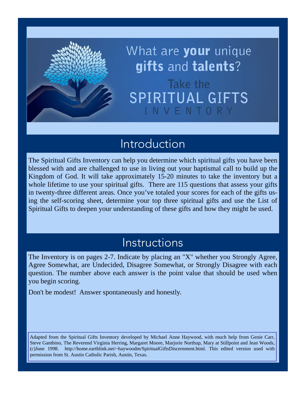

What are **your** unique gifts and talents? Take the SPIRITUAL GIFTS INVENTO

### Introduction

The Spiritual Gifts Inventory can help you determine which spiritual gifts you have been blessed with and are challenged to use in living out your baptismal call to build up the Kingdom of God. It will take approximately 15-20 minutes to take the inventory but a whole lifetime to use your spiritual gifts. There are 115 questions that assess your gifts in twenty-three different areas. Once you've totaled your scores for each of the gifts using the self-scoring sheet, determine your top three spiritual gifts and use the List of Spiritual Gifts to deepen your understanding of these gifts and how they might be used.

### Instructions

The Inventory is on pages 2-7. Indicate by placing an "X" whether you Strongly Agree, Agree Somewhat, are Undecided, Disagree Somewhat, or Strongly Disagree with each question. The number above each answer is the point value that should be used when you begin scoring.

Don't be modest! Answer spontaneously and honestly.

Adapted from the Spiritual Gifts Inventory developed by Michael Anne Haywood, with much help from Genie Carr, Steve Gambino, The Reverend Virginia Herring, Margaret Moore, Marjorie Northup, Mary at Stillpoint and Jean Woods, (c)June 1998. http://home.earthlink.net/~haywoodm/SpiritualGiftsDiscernment.html. This edited version used with permission from St. Austin Catholic Parish, Austin, Texas.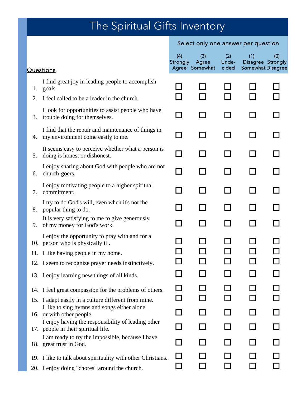# The Spiritual Gifts Inventory

### Select only one answer per question

|    | <b>Questions</b>                                                                          | (4)<br>Strongly | (3)<br>Agree<br>Agree Somewhat | (2)<br>Unde-<br>cided | (1)<br>Disagree Strongly<br><b>Somewhat Disagree</b> | (0) |
|----|-------------------------------------------------------------------------------------------|-----------------|--------------------------------|-----------------------|------------------------------------------------------|-----|
| 1. | I find great joy in leading people to accomplish<br>goals.                                |                 |                                |                       |                                                      |     |
| 2. | I feel called to be a leader in the church.                                               | $\blacksquare$  | - 1                            | $\mathcal{L}$         |                                                      |     |
| 3. | I look for opportunities to assist people who have<br>trouble doing for themselves.       | ┑               |                                | $\sim$                |                                                      |     |
| 4. | I find that the repair and maintenance of things in<br>my environment come easily to me.  | ┓               |                                | H                     | - 1                                                  |     |
| 5. | It seems easy to perceive whether what a person is<br>doing is honest or dishonest.       | ┓               |                                | $\blacksquare$        | H                                                    |     |
| 6. | I enjoy sharing about God with people who are not<br>church-goers.                        | ┓               | - 1                            | $\sim$                | $\blacksquare$                                       |     |
| 7. | I enjoy motivating people to a higher spiritual<br>commitment.                            | ┓               |                                | $\sim$                | $\sim$                                               |     |
| 8. | I try to do God's will, even when it's not the<br>popular thing to do.                    | - 1             |                                | $\sim$                | - 1                                                  |     |
| 9. | It is very satisfying to me to give generously<br>of my money for God's work.             | $\Box$          |                                |                       |                                                      |     |
|    | I enjoy the opportunity to pray with and for a<br>10. person who is physically ill.       |                 |                                |                       |                                                      |     |
|    | 11. I like having people in my home.                                                      |                 |                                |                       |                                                      |     |
|    | 12. I seem to recognize prayer needs instinctively.                                       |                 |                                |                       |                                                      |     |
|    | 13. I enjoy learning new things of all kinds.                                             |                 |                                |                       |                                                      |     |
|    | 14. I feel great compassion for the problems of others.                                   |                 |                                |                       |                                                      |     |
|    | 15. I adapt easily in a culture different from mine.                                      |                 |                                |                       |                                                      |     |
|    | I like to sing hymns and songs either alone<br>16. or with other people.                  |                 |                                |                       |                                                      |     |
|    | I enjoy having the responsibility of leading other<br>17. people in their spiritual life. |                 |                                |                       |                                                      |     |
|    | I am ready to try the impossible, because I have<br>18. great trust in God.               |                 |                                |                       |                                                      |     |
|    | 19. I like to talk about spirituality with other Christians.                              |                 |                                |                       |                                                      |     |
|    | 20. I enjoy doing "chores" around the church.                                             |                 |                                |                       | - 1                                                  |     |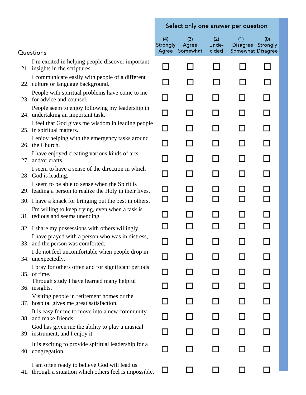#### Questions

- 30. I have a knack for bringing out the best in others. I'm willing to keep trying, even when a task is
- 
- 32. I share my possessions with others willingly. I have prayed with a person who was in distress,

- 34. unexpectedly.  $\Box$ I pray for others often and for significant periods
- 35. of time. Through study I have learned many helpful
- 36. insights. Visiting people in retirement homes or the
- 
- 38. and make friends.  $\Box$ It is easy for me to move into a new community

41. through a situation which others feel is impossible.  $\Box$   $\Box$   $\Box$   $\Box$ I am often ready to believe God will lead us

#### Select only one answer per question

|                                                                                                           | (4)<br>Strongly | (3)<br>Agree   | (2)<br>Unde- | (1)<br><b>Disagree</b>      | (0)<br>Strongly |
|-----------------------------------------------------------------------------------------------------------|-----------------|----------------|--------------|-----------------------------|-----------------|
| <b>Luestions</b>                                                                                          | Agree           | Somewhat       | cided        | Somewhat Disagree           |                 |
| I'm excited in helping people discover important<br>21. insights in the scriptures                        | ┓               |                |              |                             |                 |
| I communicate easily with people of a different<br>22. culture or language background.                    | П               |                | l I          | $\mathbf{I}$                |                 |
| People with spiritual problems have come to me<br>23. for advice and counsel.                             | ┓               |                | l I          | <b>Contract</b>             | $\Box$          |
| People seem to enjoy following my leadership in<br>24. undertaking an important task.                     | □               | $\blacksquare$ | ΙI           | H                           | П               |
| I feel that God gives me wisdom in leading people<br>25. in spiritual matters.                            | $\Box$          | l I            | l I          | $\mathcal{L}_{\mathcal{A}}$ | $\Box$          |
| I enjoy helping with the emergency tasks around<br>26. the Church.                                        | $\Box$          | l I            | П            | П                           | П               |
| I have enjoyed creating various kinds of arts<br>27. and/or crafts.                                       | П               | П              | П            | П                           | $\Box$          |
| I seem to have a sense of the direction in which<br>28. God is leading.                                   | П               | ΙI             | $\mathbf{I}$ | H                           | П               |
| I seem to be able to sense when the Spirit is<br>29. leading a person to realize the Holy in their lives. | ⊔               |                |              |                             |                 |
| 30. I have a knack for bringing out the best in others.                                                   | $\Box$          |                | П            | П                           | $\Box$          |
| I'm willing to keep trying, even when a task is<br>31. tedious and seems unending.                        | $\sim$          |                | l I          | <b>Contract</b>             | П               |
| 32. I share my possessions with others willingly.                                                         | $\sim$          |                |              |                             | $\Box$          |
| I have prayed with a person who was in distress,<br>33. and the person was comforted.                     | $\Box$          | H              | $\Box$       | $\mathcal{L}_{\mathcal{A}}$ | □               |
| I do not feel uncomfortable when people drop in<br>34. unexpectedly.                                      | $\Box$          |                |              |                             |                 |
| I pray for others often and for significant periods<br>35. of time.                                       |                 |                |              |                             |                 |
| Through study I have learned many helpful<br>36. insights.                                                |                 |                |              |                             |                 |
| Visiting people in retirement homes or the<br>37. hospital gives me great satisfaction.                   |                 |                |              |                             |                 |
| It is easy for me to move into a new community<br>38. and make friends.                                   |                 |                |              |                             |                 |
| God has given me the ability to play a musical<br>39. instrument, and I enjoy it.                         |                 |                |              |                             |                 |
| It is exciting to provide spiritual leadership for a<br>40. congregation.                                 |                 |                |              |                             |                 |
| I am often ready to believe God will lead us                                                              |                 |                |              |                             |                 |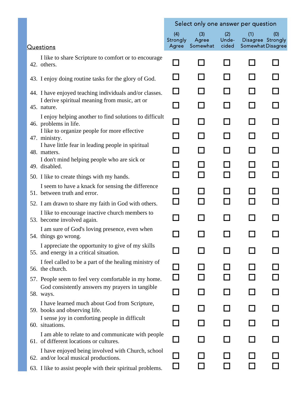|                                                                                               |                          | Select only one answer per question |                       |                                                      |     |
|-----------------------------------------------------------------------------------------------|--------------------------|-------------------------------------|-----------------------|------------------------------------------------------|-----|
| <b>Questions</b>                                                                              | (4)<br>Strongly<br>Agree | (3)<br>Agree<br>Somewhat            | (2)<br>Unde-<br>cided | (1)<br>Disagree Strongly<br><b>Somewhat Disagree</b> | (0) |
| I like to share Scripture to comfort or to encourage<br>42. others.                           | $\mathbf{I}$             | $\mathbf{I}$                        | ΙI                    | $\blacksquare$                                       |     |
| 43. I enjoy doing routine tasks for the glory of God.                                         |                          |                                     |                       |                                                      |     |
| 44. I have enjoyed teaching individuals and/or classes.                                       | ΙI                       |                                     |                       |                                                      |     |
| I derive spiritual meaning from music, art or<br>45. nature.                                  | $\sim$                   |                                     |                       |                                                      |     |
| I enjoy helping another to find solutions to difficult<br>46. problems in life.               | l 1                      |                                     |                       | $\blacksquare$                                       |     |
| I like to organize people for more effective<br>47. ministry.                                 |                          |                                     |                       |                                                      |     |
| I have little fear in leading people in spiritual<br>48. matters.                             |                          |                                     |                       |                                                      |     |
| I don't mind helping people who are sick or<br>49. disabled.                                  |                          |                                     |                       |                                                      |     |
| 50. I like to create things with my hands.                                                    |                          |                                     |                       |                                                      |     |
| I seem to have a knack for sensing the difference<br>51. between truth and error.             |                          |                                     |                       |                                                      |     |
| 52. I am drawn to share my faith in God with others.                                          |                          |                                     |                       |                                                      |     |
| I like to encourage inactive church members to<br>53. become involved again.                  | $\sim$                   |                                     | l I                   | - 1                                                  |     |
| I am sure of God's loving presence, even when<br>54. things go wrong.                         |                          |                                     |                       |                                                      |     |
| I appreciate the opportunity to give of my skills<br>55. and energy in a critical situation.  |                          |                                     |                       |                                                      |     |
| I feel called to be a part of the healing ministry of<br>56. the church.                      |                          |                                     |                       |                                                      |     |
| 57. People seem to feel very comfortable in my home.                                          |                          |                                     |                       |                                                      |     |
| God consistently answers my prayers in tangible<br>58. ways.                                  |                          |                                     |                       |                                                      |     |
| I have learned much about God from Scripture,<br>59. books and observing life.                |                          |                                     |                       |                                                      |     |
| I sense joy in comforting people in difficult<br>60. situations.                              | $\sim$                   |                                     |                       | - 1                                                  |     |
| I am able to relate to and communicate with people<br>61. of different locations or cultures. | $\mathcal{L}$            |                                     |                       |                                                      |     |
| I have enjoyed being involved with Church, school<br>62. and/or local musical productions.    |                          |                                     |                       |                                                      |     |
| 63. I like to assist people with their spiritual problems.                                    | ப                        |                                     |                       |                                                      |     |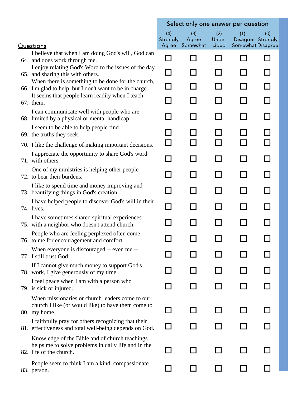|                                                                                                                                  | Select only one answer per question |                          |                       |                                                      |     |
|----------------------------------------------------------------------------------------------------------------------------------|-------------------------------------|--------------------------|-----------------------|------------------------------------------------------|-----|
| <b>Questions</b>                                                                                                                 | (4)<br>Strongly<br>Agree            | (3)<br>Agree<br>Somewhat | (2)<br>Unde-<br>cided | (1)<br>Disagree Strongly<br><b>Somewhat Disagree</b> | (0) |
| I believe that when I am doing God's will, God can<br>64. and does work through me.                                              |                                     | $\mathcal{L}$            |                       | l.                                                   |     |
| I enjoy relating God's Word to the issues of the day<br>65. and sharing this with others.                                        | $\Box$                              | $\overline{\phantom{a}}$ | H                     | l I                                                  |     |
| When there is something to be done for the church,<br>66. I'm glad to help, but I don't want to be in charge.                    | П                                   | $\mathsf{L}$             | l 1                   | ΙI                                                   |     |
| It seems that people learn readily when I teach<br>67. them.                                                                     |                                     | П                        | l I                   | П                                                    |     |
| I can communicate well with people who are<br>68. limited by a physical or mental handicap.                                      | $\sim$                              | ΙI                       | ΙI                    | П                                                    |     |
| I seem to be able to help people find<br>69. the truths they seek.                                                               |                                     |                          |                       |                                                      |     |
| 70. I like the challenge of making important decisions.                                                                          | ΙI                                  |                          |                       |                                                      |     |
| I appreciate the opportunity to share God's word<br>71. with others.                                                             | П                                   | $\Box$                   | l 1                   | $\Box$                                               |     |
| One of my ministries is helping other people<br>72. to bear their burdens.                                                       | $\sim$                              | $\Box$                   | ΙI                    | П                                                    |     |
| I like to spend time and money improving and<br>73. beautifying things in God's creation.                                        | H                                   | П                        | П                     | П                                                    |     |
| I have helped people to discover God's will in their<br>74. lives.                                                               | ┓                                   | $\Box$                   | H                     | ΙI                                                   |     |
| I have sometimes shared spiritual experiences<br>75. with a neighbor who doesn't attend church.                                  | $\mathcal{L}$                       | $\Box$                   | П                     | П                                                    |     |
| People who are feeling perplexed often come<br>76. to me for encouragement and comfort.                                          |                                     |                          |                       |                                                      |     |
| When everyone is discouraged -- even me --<br>77. I still trust God.                                                             |                                     |                          |                       |                                                      |     |
| If I cannot give much money to support God's<br>78. work, I give generously of my time.                                          |                                     |                          |                       |                                                      |     |
| I feel peace when I am with a person who<br>79. is sick or injured.                                                              |                                     |                          |                       |                                                      |     |
| When missionaries or church leaders come to our<br>church I like (or would like) to have them come to<br>80. my home.            |                                     |                          |                       |                                                      |     |
| I faithfully pray for others recognizing that their<br>81. effectiveness and total well-being depends on God.                    |                                     |                          |                       |                                                      |     |
| Knowledge of the Bible and of church teachings<br>helps me to solve problems in daily life and in the<br>82. life of the church. |                                     |                          |                       |                                                      |     |
| People seem to think I am a kind, compassionate<br>83. person.                                                                   |                                     |                          |                       |                                                      |     |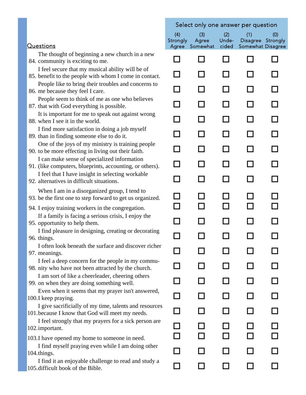|                                                                                                            |                 | Select only one answer per question |              |                          |     |
|------------------------------------------------------------------------------------------------------------|-----------------|-------------------------------------|--------------|--------------------------|-----|
|                                                                                                            | (4)<br>Strongly | (3)<br>Agree                        | (2)<br>Unde- | (1)<br>Disagree Strongly | (0) |
| <b>Questions</b>                                                                                           |                 | Agree Somewhat                      | cided        | <b>Somewhat Disagree</b> |     |
| The thought of beginning a new church in a new<br>84. community is exciting to me.                         |                 |                                     |              |                          |     |
| I feel secure that my musical ability will be of<br>85. benefit to the people with whom I come in contact. |                 |                                     |              |                          |     |
| People like to bring their troubles and concerns to<br>86. me because they feel I care.                    |                 |                                     |              |                          |     |
| People seem to think of me as one who believes<br>87. that with God everything is possible.                |                 |                                     | - 1          |                          |     |
| It is important for me to speak out against wrong<br>88. when I see it in the world.                       |                 |                                     |              |                          |     |
| I find more satisfaction in doing a job myself<br>89. than in finding someone else to do it.               |                 |                                     | - 1          |                          |     |
| One of the joys of my ministry is training people<br>90. to be more effecting in living out their faith.   |                 |                                     |              |                          |     |
| I can make sense of specialized information<br>91. (like computers, blueprints, accounting, or others).    | $\blacksquare$  |                                     | - 1          |                          |     |
| I feel that I have insight in selecting workable<br>92. alternatives in difficult situations.              |                 |                                     |              |                          |     |
| When I am in a disorganized group, I tend to<br>93. be the first one to step forward to get us organized.  |                 |                                     |              |                          |     |
| 94. I enjoy training workers in the congregation.                                                          |                 |                                     |              |                          |     |
| If a family is facing a serious crisis, I enjoy the<br>95. opportunity to help them.                       |                 |                                     |              |                          |     |
| I find pleasure in designing, creating or decorating<br>96. things.                                        |                 |                                     |              |                          |     |
| I often look beneath the surface and discover richer<br>97. meanings.                                      |                 |                                     |              |                          |     |
| I feel a deep concern for the people in my commu-<br>98. nity who have not been attracted by the church.   |                 |                                     |              |                          |     |
| I am sort of like a cheerleader, cheering others<br>99. on when they are doing something well.             |                 |                                     |              |                          |     |
| Even when it seems that my prayer isn't answered,<br>100.I keep praying.                                   |                 |                                     |              |                          |     |
| I give sacrificially of my time, talents and resources<br>101.because I know that God will meet my needs.  | $\Box$          |                                     |              |                          |     |
| I feel strongly that my prayers for a sick person are<br>102.important.                                    |                 |                                     |              |                          |     |
| 103. I have opened my home to someone in need.                                                             |                 |                                     |              |                          |     |
| I find myself praying even while I am doing other<br>104.things.                                           |                 |                                     |              |                          |     |
| I find it an enjoyable challenge to read and study a<br>105. difficult book of the Bible.                  |                 |                                     |              |                          |     |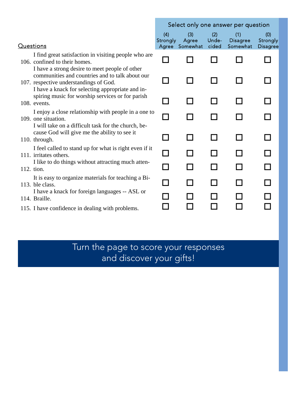|                                                                                                                                               | Select only one answer per question |                                |                       |                                    |                                    |
|-----------------------------------------------------------------------------------------------------------------------------------------------|-------------------------------------|--------------------------------|-----------------------|------------------------------------|------------------------------------|
| <b>Questions</b>                                                                                                                              | (4)<br>Strongly                     | (3)<br>Agree<br>Agree Somewhat | (2)<br>Unde-<br>cided | (1)<br><b>Disagree</b><br>Somewhat | (0)<br>Strongly<br><b>Disagree</b> |
| I find great satisfaction in visiting people who are<br>106. confined to their homes.<br>I have a strong desire to meet people of other       |                                     |                                | $\mathsf{L}$          |                                    |                                    |
| communities and countries and to talk about our<br>107. respective understandings of God.<br>I have a knack for selecting appropriate and in- | $\overline{\phantom{a}}$            | $\blacksquare$                 | ΙI                    | I                                  |                                    |
| spiring music for worship services or for parish<br>108. events.                                                                              | $\mathcal{L}$                       | - 1                            | ΙI                    |                                    |                                    |
| I enjoy a close relationship with people in a one to<br>109. one situation.<br>I will take on a difficult task for the church, be-            |                                     |                                | ΙI                    |                                    |                                    |
| cause God will give me the ability to see it<br>110. through.                                                                                 | $\sim$                              | $\blacksquare$                 | ΙI                    |                                    |                                    |
| I feel called to stand up for what is right even if it<br>111. irritates others.                                                              |                                     |                                | ΙI                    |                                    |                                    |
| I like to do things without attracting much atten-<br>112. tion.                                                                              | ĻΙ                                  |                                | $\mathbf{I}$          |                                    |                                    |
| It is easy to organize materials for teaching a Bi-<br>113. ble class.                                                                        |                                     |                                | l 1                   |                                    |                                    |
| I have a knack for foreign languages -- ASL or<br>114. Braille.                                                                               |                                     |                                |                       |                                    |                                    |
| 115. I have confidence in dealing with problems.                                                                                              |                                     |                                |                       |                                    |                                    |

Turn the page to score your responses and discover your gifts!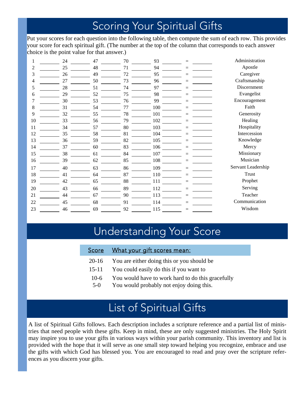### Scoring Your Spiritual Gifts

Put your scores for each question into the following table, then compute the sum of each row. This provides your score for each spiritual gift. (The number at the top of the column that corresponds to each answer choice is the point value for that answer.)

|    | 24 | 47 | 70 | 93  |     | Administration     |
|----|----|----|----|-----|-----|--------------------|
| 2  | 25 | 48 | 71 | 94  |     | Apostle            |
| 3  | 26 | 49 | 72 | 95  |     | Caregiver          |
| 4  | 27 | 50 | 73 | 96  |     | Craftsmanship      |
| 5  | 28 | 51 | 74 | 97  | $=$ | Discernment        |
| 6  | 29 | 52 | 75 | 98  |     | Evangelist         |
|    | 30 | 53 | 76 | 99  |     | Encouragement      |
| 8  | 31 | 54 | 77 | 100 | Ξ   | Faith              |
| 9  | 32 | 55 | 78 | 101 |     | Generosity         |
| 10 | 33 | 56 | 79 | 102 | $=$ | Healing            |
| 11 | 34 | 57 | 80 | 103 |     | Hospitality        |
| 12 | 35 | 58 | 81 | 104 |     | Intercession       |
| 13 | 36 | 59 | 82 | 105 | $=$ | Knowledge          |
| 14 | 37 | 60 | 83 | 106 |     | Mercy              |
| 15 | 38 | 61 | 84 | 107 | $=$ | Missionary         |
| 16 | 39 | 62 | 85 | 108 |     | Musician           |
| 17 | 40 | 63 | 86 | 109 |     | Servant Leadership |
| 18 | 41 | 64 | 87 | 110 | $=$ | Trust              |
| 19 | 42 | 65 | 88 | 111 | $=$ | Prophet            |
| 20 | 43 | 66 | 89 | 112 | $=$ | Serving            |
| 21 | 44 | 67 | 90 | 113 | $=$ | Teacher            |
| 22 | 45 | 68 | 91 | 114 |     | Communication      |
| 23 | 46 | 69 | 92 | 115 | $=$ | Wisdom             |

## Understanding Your Score

| <u>Score</u> | What your gift scores mean:                       |
|--------------|---------------------------------------------------|
| $20-16$      | You are either doing this or you should be        |
| $15 - 11$    | You could easily do this if you want to           |
| $10-6$       | You would have to work hard to do this gracefully |
| $5-0$        | You would probably not enjoy doing this.          |

### List of Spiritual Gifts

A list of Spiritual Gifts follows. Each description includes a scripture reference and a partial list of ministries that need people with these gifts. Keep in mind, these are only suggested ministries. The Holy Spirit may inspire you to use your gifts in various ways within your parish community. This inventory and list is provided with the hope that it will serve as one small step toward helping you recognize, embrace and use the gifts with which God has blessed you. You are encouraged to read and pray over the scripture references as you discern your gifts.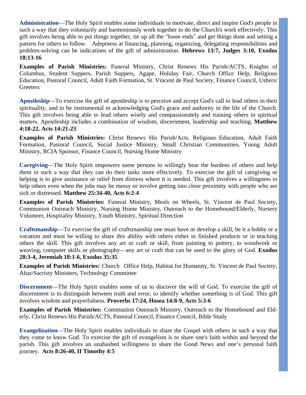**Administration**—The Holy Spirit enables some individuals to motivate, direct and inspire God's people in such a way that they voluntarily and harmoniously work together to do the Church's work effectively. This gift involves being able to put things together, tie up all the "loose ends" and get things done and setting a pattern for others to follow. Adeptness at financing, planning, organizing, delegating responsibilities and problem-solving can be indications of the gift of administration. **Hebrews 13:7, Judges 3:10, Exodus 18:13-16**

**Examples of Parish Ministries:** Funeral Ministry, Christ Renews His Parish/ACTS, Knights of Columbus, Student Suppers, Parish Suppers, Agape, Holiday Fair, Church Office Help, Religious Education, Pastoral Council, Adult Faith Formation, St. Vincent de Paul Society, Finance Council, Ushers/ **Greeters** 

**Apostleship**—To exercise the gift of apostleship is to perceive and accept God's call to lead others in their spirituality, and to be instrumental in acknowledging God's grace and authority in the life of the Church. This gift involves being able to lead others wisely and compassionately and training others in spiritual matters. Apostleship includes a combination of wisdom, discernment, leadership and teaching. **Matthew 4:18-22. Acts 14:21-23** 

**Examples of Parish Ministries:** Christ Renews His Parish/Acts, Religious Education, Adult Faith Formation, Pastoral Council, Social Justice Ministry, Small Christian Communities, Young Adult Ministry, RCIA Sponsor, Finance Council, Nursing Home Ministry

**Caregiving**—The Holy Spirit empowers some persons to willingly bear the burdens of others and help them in such a way that they can do their tasks more effectively. To exercise the gift of caregiving or helping is to give assistance or relief from distress where it is needed. This gift involves a willingness to help others even when the jobs may be messy or involve getting into close proximity with people who are sick or distressed. **Matthew 25:34-40, Acts 6:2-4** 

**Examples of Parish Ministries:** Funeral Ministry, Meals on Wheels, St. Vincent de Paul Society, Communion Outreach Ministry, Nursing Home Ministry, Outreach to the Homebound/Elderly, Nursery Volunteer, Hospitality Ministry, Youth Ministry, Spiritual Direction

**Craftsmanship**—To exercise the gift of craftsmanship one must have or develop a skill, be it a hobby or a vocation and must be willing to share this ability with others either in finished products or in teaching others the skill. This gift involves any art or craft or skill, from painting to pottery, to woodwork or weaving, computer skills or photography—any art or craft that can be used to the glory of God. **Exodus 28:3-4, Jeremiah 18:1-6, Exodus 35:35** 

**Examples of Parish Ministries:** Church Office Help, Habitat for Humanity, St. Vincent de Paul Society, Altar/Sacristy Ministers, Technology Committee

**Discernment**—The Holy Spirit enables some of us to discover the will of God. To exercise the gift of discernment is to distinguish between truth and error, to identify whether something is of God. This gift involves wisdom and prayerfulness. **Proverbs 17:24, Hosea 14:8-9, Acts 5:3-6** 

**Examples of Parish Ministries:** Communion Outreach Ministry, Outreach to the Homebound and Elderly, Christ Renews His Parish/ACTS, Pastoral Council, Finance Council, Bible Study

**Evangelization**—The Holy Spirit enables individuals to share the Gospel with others in such a way that they come to know God. To exercise the gift of evangelism is to share one's faith within and beyond the parish. This gift involves an unabashed willingness to share the Good News and one's personal faith journey. **Acts 8:26-40, II Timothy 4:5**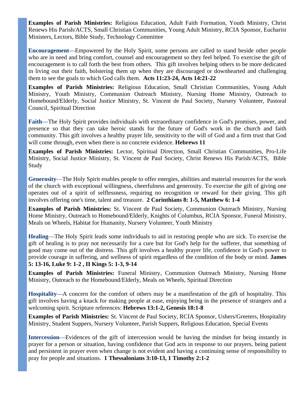**Examples of Parish Ministries:** Religious Education, Adult Faith Formation, Youth Ministry, Christ Renews His Parish/ACTS, Small Christian Communities, Young Adult Ministry, RCIA Sponsor, Eucharist Ministers, Lectors, Bible Study, Technology Committee

**Encouragement**—Empowered by the Holy Spirit, some persons are called to stand beside other people who are in need and bring comfort, counsel and encouragement so they feel helped. To exercise the gift of encouragement is to call forth the best from others. This gift involves helping others to be more dedicated in living out their faith, bolstering them up when they are discouraged or downhearted and challenging them to see the goals to which God calls them. **Acts 11:23-24, Acts 14:21-22**

**Examples of Parish Ministries:** Religious Education, Small Christian Communities, Young Adult Ministry, Youth Ministry, Communion Outreach Ministry, Nursing Home Ministry, Outreach to Homebound/Elderly, Social Justice Ministry, St. Vincent de Paul Society, Nursery Volunteer, Pastoral Council, Spiritual Direction

**Faith**—The Holy Spirit provides individuals with extraordinary confidence in God's promises, power, and presence so that they can take heroic stands for the future of God's work in the church and faith community. This gift involves a healthy prayer life, sensitivity to the will of God and a firm trust that God will come through, even when there is no concrete evidence. **Hebrews 11** 

**Examples of Parish Ministries:** Lector, Spiritual Direction, Small Christian Communities, Pro-Life Ministry, Social Justice Ministry, St. Vincent de Paul Society, Christ Renews His Parish/ACTS, Bible Study

**Generosity**—The Holy Spirit enables people to offer energies, abilities and material resources for the work of the church with exceptional willingness, cheerfulness and generosity. To exercise the gift of giving one operates out of a spirit of selflessness, requiring no recognition or reward for their giving. This gift involves offering one's time, talent and treasure. **2 Corinthians 8: 1-5, Matthew 6: 1-4** 

**Examples of Parish Ministries:** St. Vincent de Paul Society, Communion Outreach Ministry, Nursing Home Ministry, Outreach to Homebound/Elderly, Knights of Columbus, RCIA Sponsor, Funeral Ministry, Meals on Wheels, Habitat for Humanity, Nursery Volunteer, Youth Ministry

**Healing**—The Holy Spirit leads some individuals to aid in restoring people who are sick. To exercise the gift of healing is to pray not necessarily for a cure but for God's help for the sufferer, that something of good may come out of the distress. This gift involves a healthy prayer life, confidence in God's power to provide courage in suffering, and wellness of spirit regardless of the condition of the body or mind. **James 5: 13-16, Luke 9: 1-2 , II Kings 5: 1-3, 9-14** 

**Examples of Parish Ministries:** Funeral Ministry, Communion Outreach Ministry, Nursing Home Ministry, Outreach to the Homebound/Elderly, Meals on Wheels, Spiritual Direction

**Hospitality**—A concern for the comfort of others may be a manifestation of the gift of hospitality. This gift involves having a knack for making people at ease, enjoying being in the presence of strangers and a welcoming spirit. Scripture references: **Hebrews 13:1-2, Genesis 18:1-8** 

**Examples of Parish Ministries:** St. Vincent de Paul Society, RCIA Sponsor, Ushers/Greeters, Hospitality Ministry, Student Suppers, Nursery Volunteer, Parish Suppers, Religious Education, Special Events

**Intercession**—Evidences of the gift of intercession would be having the mindset for being instantly in prayer for a person or situation, having confidence that God acts in response to our prayers, being patient and persistent in prayer even when change is not evident and having a continuing sense of responsibility to pray for people and situations. **1 Thessalonians 3:10-13, 1 Timothy 2:1-2**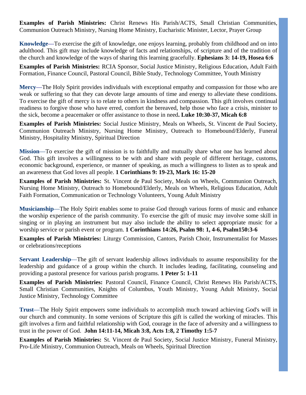**Examples of Parish Ministries:** Christ Renews His Parish/ACTS, Small Christian Communities, Communion Outreach Ministry, Nursing Home Ministry, Eucharistic Minister, Lector, Prayer Group

**Knowledge**—To exercise the gift of knowledge, one enjoys learning, probably from childhood and on into adulthood. This gift may include knowledge of facts and relationships, of scripture and of the tradition of the church and knowledge of the ways of sharing this learning gracefully. **Ephesians 3: 14-19, Hosea 6:6** 

**Examples of Parish Ministries:** RCIA Sponsor, Social Justice Ministry, Religious Education, Adult Faith Formation, Finance Council, Pastoral Council, Bible Study, Technology Committee, Youth Ministry

**Mercy**—The Holy Spirit provides individuals with exceptional empathy and compassion for those who are weak or suffering so that they can devote large amounts of time and energy to alleviate these conditions. To exercise the gift of mercy is to relate to others in kindness and compassion. This gift involves continual readiness to forgive those who have erred, comfort the bereaved, help those who face a crisis, minister to the sick, become a peacemaker or offer assistance to those in need**. Luke 10:30-37, Micah 6:8** 

**Examples of Parish Ministries:** Social Justice Ministry, Meals on Wheels, St. Vincent de Paul Society, Communion Outreach Ministry, Nursing Home Ministry, Outreach to Homebound/Elderly, Funeral Ministry, Hospitality Ministry, Spiritual Direction

**Mission**—To exercise the gift of mission is to faithfully and mutually share what one has learned about God. This gift involves a willingness to be with and share with people of different heritage, customs, economic background, experience, or manner of speaking, as much a willingness to listen as to speak and an awareness that God loves all people. **1 Corinthians 9: 19-23, Mark 16: 15-20** 

**Examples of Parish Ministries:** St. Vincent de Paul Society, Meals on Wheels, Communion Outreach, Nursing Home Ministry, Outreach to Homebound/Elderly, Meals on Wheels, Religious Education, Adult Faith Formation, Communication or Technology Volunteers, Young Adult Ministry

**Musicianship**—The Holy Spirit enables some to praise God through various forms of music and enhance the worship experience of the parish community. To exercise the gift of music may involve some skill in singing or in playing an instrument but may also include the ability to select appropriate music for a worship service or parish event or program. **1 Corinthians 14:26, Psalm 98: 1, 4-6, Psalm150:3-6** 

**Examples of Parish Ministries:** Liturgy Commission, Cantors, Parish Choir, Instrumentalist for Masses or celebrations/receptions

**Servant Leadership**—The gift of servant leadership allows individuals to assume responsibility for the leadership and guidance of a group within the church. It includes leading, facilitating, counseling and providing a pastoral presence for various parish programs. **1 Peter 5: 1-11** 

**Examples of Parish Ministries:** Pastoral Council, Finance Council, Christ Renews His Parish/ACTS, Small Christian Communities, Knights of Columbus, Youth Ministry, Young Adult Ministry, Social Justice Ministry, Technology Committee

**Trust**—The Holy Spirit empowers some individuals to accomplish much toward achieving God's will in our church and community. In some versions of Scripture this gift is called the working of miracles. This gift involves a firm and faithful relationship with God, courage in the face of adversity and a willingness to trust in the power of God. **John 14:11-14, Micah 3:8, Acts 1:8, 2 Timothy 1:5-7** 

**Examples of Parish Ministries:** St. Vincent de Paul Society, Social Justice Ministry, Funeral Ministry, Pro-Life Ministry, Communion Outreach, Meals on Wheels, Spiritual Direction